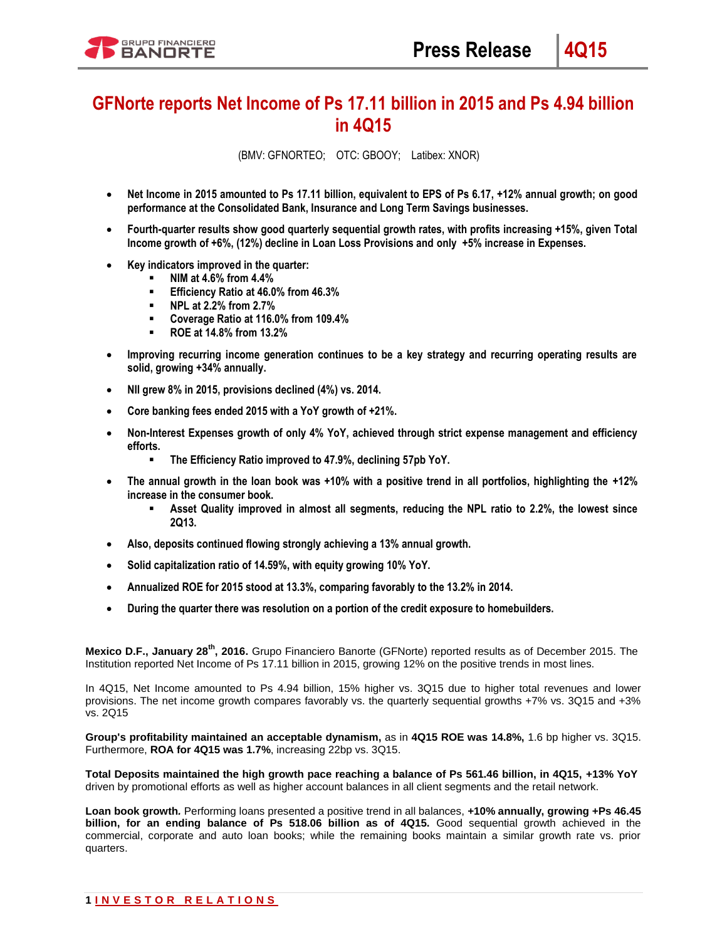# **GFNorte reports Net Income of Ps 17.11 billion in 2015 and Ps 4.94 billion in 4Q15**

(BMV: GFNORTEO; OTC: GBOOY; Latibex: XNOR)

- **Net Income in 2015 amounted to Ps 17.11 billion, equivalent to EPS of Ps 6.17, +12% annual growth; on good performance at the Consolidated Bank, Insurance and Long Term Savings businesses.**
- **Fourth-quarter results show good quarterly sequential growth rates, with profits increasing +15%, given Total Income growth of +6%, (12%) decline in Loan Loss Provisions and only +5% increase in Expenses.**
- **Key indicators improved in the quarter:** 
	- **NIM at 4.6% from 4.4%**
	- **Efficiency Ratio at 46.0% from 46.3%**
	- **NPL at 2.2% from 2.7%**
	- **Coverage Ratio at 116.0% from 109.4%**
	- **ROE at 14.8% from 13.2%**
- **Improving recurring income generation continues to be a key strategy and recurring operating results are solid, growing +34% annually.**
- **NII grew 8% in 2015, provisions declined (4%) vs. 2014.**
- **Core banking fees ended 2015 with a YoY growth of +21%.**
- **Non-Interest Expenses growth of only 4% YoY, achieved through strict expense management and efficiency efforts.** 
	- **The Efficiency Ratio improved to 47.9%, declining 57pb YoY.**
- **The annual growth in the loan book was +10% with a positive trend in all portfolios, highlighting the +12% increase in the consumer book.**
	- **Asset Quality improved in almost all segments, reducing the NPL ratio to 2.2%, the lowest since 2Q13.**
- **Also, deposits continued flowing strongly achieving a 13% annual growth.**
- **Solid capitalization ratio of 14.59%, with equity growing 10% YoY.**
- **Annualized ROE for 2015 stood at 13.3%, comparing favorably to the 13.2% in 2014.**
- **During the quarter there was resolution on a portion of the credit exposure to homebuilders.**

**Mexico D.F., January 28th, 2016.** Grupo Financiero Banorte (GFNorte) reported results as of December 2015. The Institution reported Net Income of Ps 17.11 billion in 2015, growing 12% on the positive trends in most lines.

In 4Q15, Net Income amounted to Ps 4.94 billion, 15% higher vs. 3Q15 due to higher total revenues and lower provisions. The net income growth compares favorably vs. the quarterly sequential growths +7% vs. 3Q15 and +3% vs. 2Q15

**Group's profitability maintained an acceptable dynamism,** as in **4Q15 ROE was 14.8%,** 1.6 bp higher vs. 3Q15. Furthermore, **ROA for 4Q15 was 1.7%**, increasing 22bp vs. 3Q15.

**Total Deposits maintained the high growth pace reaching a balance of Ps 561.46 billion, in 4Q15, +13% YoY**  driven by promotional efforts as well as higher account balances in all client segments and the retail network.

**Loan book growth***.* Performing loans presented a positive trend in all balances, **+10% annually, growing +Ps 46.45 billion, for an ending balance of Ps 518.06 billion as of 4Q15.** Good sequential growth achieved in the commercial, corporate and auto loan books; while the remaining books maintain a similar growth rate vs. prior quarters.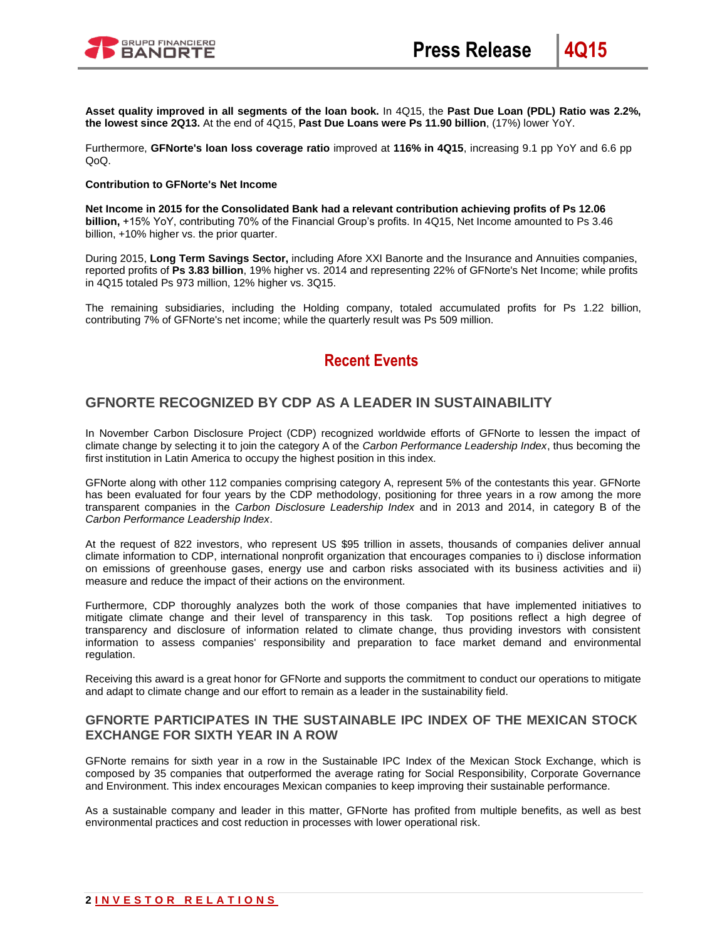

**Asset quality improved in all segments of the loan book.** In 4Q15, the **Past Due Loan (PDL) Ratio was 2.2%, the lowest since 2Q13.** At the end of 4Q15, **Past Due Loans were Ps 11.90 billion**, (17%) lower YoY.

Furthermore, **GFNorte's loan loss coverage ratio** improved at **116% in 4Q15**, increasing 9.1 pp YoY and 6.6 pp  $O_0$ 

#### **Contribution to GFNorte's Net Income**

**Net Income in 2015 for the Consolidated Bank had a relevant contribution achieving profits of Ps 12.06 billion,** +15% YoY, contributing 70% of the Financial Group's profits. In 4Q15, Net Income amounted to Ps 3.46 billion, +10% higher vs. the prior quarter.

During 2015, **Long Term Savings Sector,** including Afore XXI Banorte and the Insurance and Annuities companies, reported profits of **Ps 3.83 billion**, 19% higher vs. 2014 and representing 22% of GFNorte's Net Income; while profits in 4Q15 totaled Ps 973 million, 12% higher vs. 3Q15.

The remaining subsidiaries, including the Holding company, totaled accumulated profits for Ps 1.22 billion, contributing 7% of GFNorte's net income; while the quarterly result was Ps 509 million.

# **Recent Events**

## **GFNORTE RECOGNIZED BY CDP AS A LEADER IN SUSTAINABILITY**

In November Carbon Disclosure Project (CDP) recognized worldwide efforts of GFNorte to lessen the impact of climate change by selecting it to join the category A of the *Carbon Performance Leadership Index*, thus becoming the first institution in Latin America to occupy the highest position in this index.

GFNorte along with other 112 companies comprising category A, represent 5% of the contestants this year. GFNorte has been evaluated for four years by the CDP methodology, positioning for three years in a row among the more transparent companies in the *Carbon Disclosure Leadership Index* and in 2013 and 2014, in category B of the *Carbon Performance Leadership Index*.

At the request of 822 investors, who represent US \$95 trillion in assets, thousands of companies deliver annual climate information to CDP, international nonprofit organization that encourages companies to i) disclose information on emissions of greenhouse gases, energy use and carbon risks associated with its business activities and ii) measure and reduce the impact of their actions on the environment.

Furthermore, CDP thoroughly analyzes both the work of those companies that have implemented initiatives to mitigate climate change and their level of transparency in this task. Top positions reflect a high degree of transparency and disclosure of information related to climate change, thus providing investors with consistent information to assess companies' responsibility and preparation to face market demand and environmental regulation.

Receiving this award is a great honor for GFNorte and supports the commitment to conduct our operations to mitigate and adapt to climate change and our effort to remain as a leader in the sustainability field.

### **GFNORTE PARTICIPATES IN THE SUSTAINABLE IPC INDEX OF THE MEXICAN STOCK EXCHANGE FOR SIXTH YEAR IN A ROW**

GFNorte remains for sixth year in a row in the Sustainable IPC Index of the Mexican Stock Exchange, which is composed by 35 companies that outperformed the average rating for Social Responsibility, Corporate Governance and Environment. This index encourages Mexican companies to keep improving their sustainable performance.

As a sustainable company and leader in this matter, GFNorte has profited from multiple benefits, as well as best environmental practices and cost reduction in processes with lower operational risk.